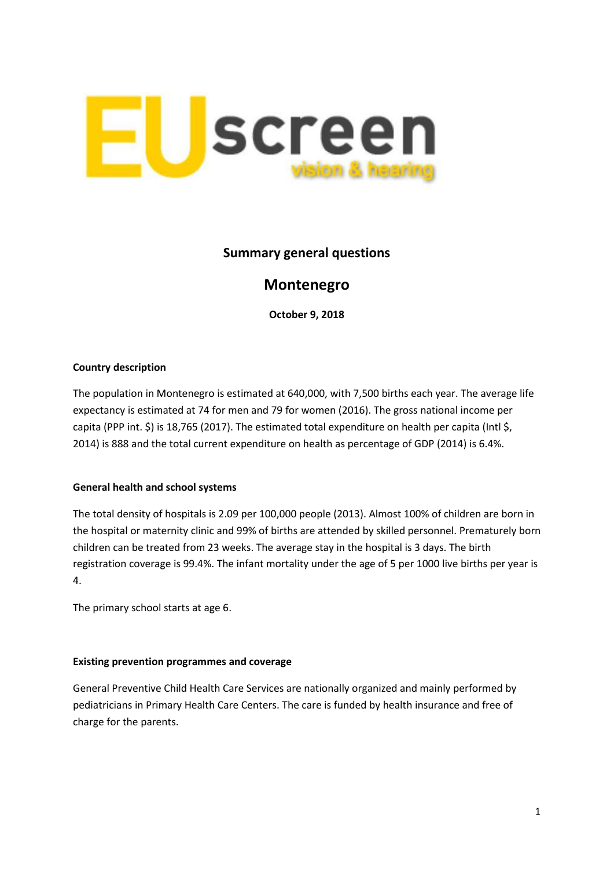

## **Summary general questions**

# **Montenegro**

**October 9, 2018**

### **Country description**

The population in Montenegro is estimated at 640,000, with 7,500 births each year. The average life expectancy is estimated at 74 for men and 79 for women (2016). The gross national income per capita (PPP int. \$) is 18,765 (2017). The estimated total expenditure on health per capita (Intl \$, 2014) is 888 and the total current expenditure on health as percentage of GDP (2014) is 6.4%.

#### **General health and school systems**

The total density of hospitals is 2.09 per 100,000 people (2013). Almost 100% of children are born in the hospital or maternity clinic and 99% of births are attended by skilled personnel. Prematurely born children can be treated from 23 weeks. The average stay in the hospital is 3 days. The birth registration coverage is 99.4%. The infant mortality under the age of 5 per 1000 live births per year is 4.

The primary school starts at age 6.

#### **Existing prevention programmes and coverage**

General Preventive Child Health Care Services are nationally organized and mainly performed by pediatricians in Primary Health Care Centers. The care is funded by health insurance and free of charge for the parents.